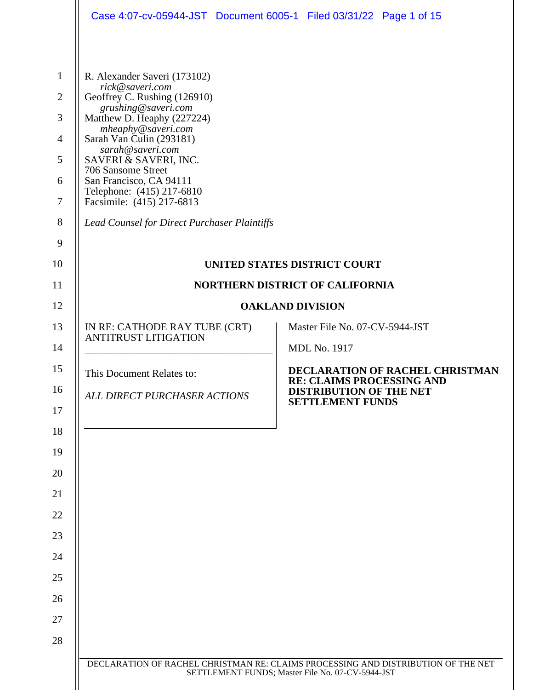|                                                            | Case 4:07-cv-05944-JST Document 6005-1 Filed 03/31/22 Page 1 of 15                                                                                                                                         |                                                                                                                                       |
|------------------------------------------------------------|------------------------------------------------------------------------------------------------------------------------------------------------------------------------------------------------------------|---------------------------------------------------------------------------------------------------------------------------------------|
| $\mathbf{1}$<br>$\overline{2}$<br>3<br>$\overline{4}$<br>5 | R. Alexander Saveri (173102)<br>rick@saveri.com<br>Geoffrey C. Rushing (126910)<br>grushing@saveri.com<br>Matthew D. Heaphy (227224)<br>mheaphy@saveri.com<br>Sarah Van Culin (293181)<br>sarah@saveri.com |                                                                                                                                       |
| 6<br>$\tau$                                                | SAVERI & SAVERI, INC.<br>706 Sansome Street<br>San Francisco, CA 94111<br>Telephone: (415) 217-6810<br>Facsimile: (415) 217-6813                                                                           |                                                                                                                                       |
| 8                                                          | <b>Lead Counsel for Direct Purchaser Plaintiffs</b>                                                                                                                                                        |                                                                                                                                       |
| 9                                                          |                                                                                                                                                                                                            |                                                                                                                                       |
| 10                                                         | <b>UNITED STATES DISTRICT COURT</b>                                                                                                                                                                        |                                                                                                                                       |
| 11                                                         | <b>NORTHERN DISTRICT OF CALIFORNIA</b>                                                                                                                                                                     |                                                                                                                                       |
| 12                                                         |                                                                                                                                                                                                            | <b>OAKLAND DIVISION</b>                                                                                                               |
| 13<br>14                                                   | IN RE: CATHODE RAY TUBE (CRT)<br><b>ANTITRUST LITIGATION</b>                                                                                                                                               | Master File No. 07-CV-5944-JST<br><b>MDL No. 1917</b>                                                                                 |
| 15                                                         | This Document Relates to:                                                                                                                                                                                  | DECLARATION OF RACHEL CHRISTMAN<br><b>RE: CLAIMS PROCESSING AND</b>                                                                   |
| 16<br>17                                                   | ALL DIRECT PURCHASER ACTIONS                                                                                                                                                                               | <b>DISTRIBUTION OF THE NET</b><br><b>SETTLEMENT FUNDS</b>                                                                             |
| 18                                                         |                                                                                                                                                                                                            |                                                                                                                                       |
| 19                                                         |                                                                                                                                                                                                            |                                                                                                                                       |
| 20                                                         |                                                                                                                                                                                                            |                                                                                                                                       |
| 21                                                         |                                                                                                                                                                                                            |                                                                                                                                       |
| 22                                                         |                                                                                                                                                                                                            |                                                                                                                                       |
| 23                                                         |                                                                                                                                                                                                            |                                                                                                                                       |
| 24                                                         |                                                                                                                                                                                                            |                                                                                                                                       |
| 25                                                         |                                                                                                                                                                                                            |                                                                                                                                       |
| 26                                                         |                                                                                                                                                                                                            |                                                                                                                                       |
| 27                                                         |                                                                                                                                                                                                            |                                                                                                                                       |
| 28                                                         |                                                                                                                                                                                                            |                                                                                                                                       |
|                                                            |                                                                                                                                                                                                            | DECLARATION OF RACHEL CHRISTMAN RE: CLAIMS PROCESSING AND DISTRIBUTION OF THE NET<br>SETTLEMENT FUNDS; Master File No. 07-CV-5944-JST |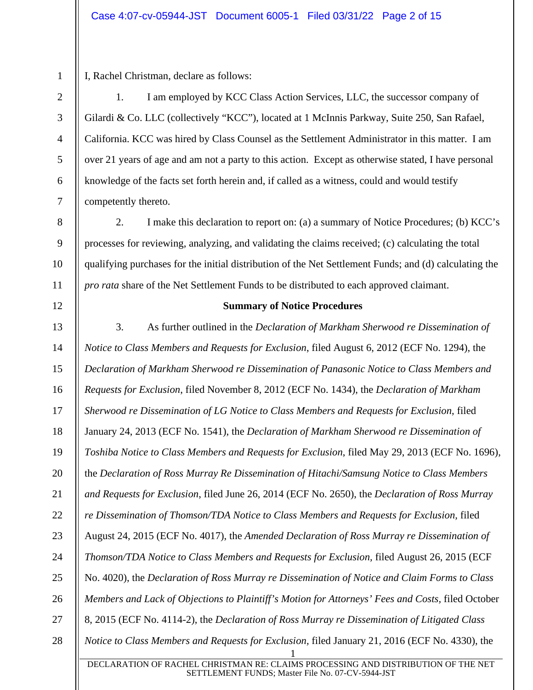3

4

5

6

7

8

9

10

11

12

1

I, Rachel Christman, declare as follows:

1. I am employed by KCC Class Action Services, LLC, the successor company of Gilardi & Co. LLC (collectively "KCC"), located at 1 McInnis Parkway, Suite 250, San Rafael, California. KCC was hired by Class Counsel as the Settlement Administrator in this matter. I am over 21 years of age and am not a party to this action. Except as otherwise stated, I have personal knowledge of the facts set forth herein and, if called as a witness, could and would testify competently thereto.

2. I make this declaration to report on: (a) a summary of Notice Procedures; (b) KCC's processes for reviewing, analyzing, and validating the claims received; (c) calculating the total qualifying purchases for the initial distribution of the Net Settlement Funds; and (d) calculating the *pro rata* share of the Net Settlement Funds to be distributed to each approved claimant.

## **Summary of Notice Procedures**

1 DECLARATION OF RACHEL CHRISTMAN RE: CLAIMS PROCESSING AND DISTRIBUTION OF THE NET SETTLEMENT FUNDS; Master File No. 07-CV-5944-JST 13 14 15 16 17 18 19 20 21 22 23 24 25 26 27 28 3. As further outlined in the *Declaration of Markham Sherwood re Dissemination of Notice to Class Members and Requests for Exclusion*, filed August 6, 2012 (ECF No. 1294), the *Declaration of Markham Sherwood re Dissemination of Panasonic Notice to Class Members and Requests for Exclusion*, filed November 8, 2012 (ECF No. 1434), the *Declaration of Markham Sherwood re Dissemination of LG Notice to Class Members and Requests for Exclusion*, filed January 24, 2013 (ECF No. 1541), the *Declaration of Markham Sherwood re Dissemination of Toshiba Notice to Class Members and Requests for Exclusion*, filed May 29, 2013 (ECF No. 1696), the *Declaration of Ross Murray Re Dissemination of Hitachi/Samsung Notice to Class Members and Requests for Exclusion*, filed June 26, 2014 (ECF No. 2650), the *Declaration of Ross Murray re Dissemination of Thomson/TDA Notice to Class Members and Requests for Exclusion, filed* August 24, 2015 (ECF No. 4017), the *Amended Declaration of Ross Murray re Dissemination of Thomson/TDA Notice to Class Members and Requests for Exclusion,* filed August 26, 2015 (ECF No. 4020), the *Declaration of Ross Murray re Dissemination of Notice and Claim Forms to Class Members and Lack of Objections to Plaintiff's Motion for Attorneys' Fees and Costs, filed October* 8, 2015 (ECF No. 4114-2), the *Declaration of Ross Murray re Dissemination of Litigated Class Notice to Class Members and Requests for Exclusion,* filed January 21, 2016 (ECF No. 4330), the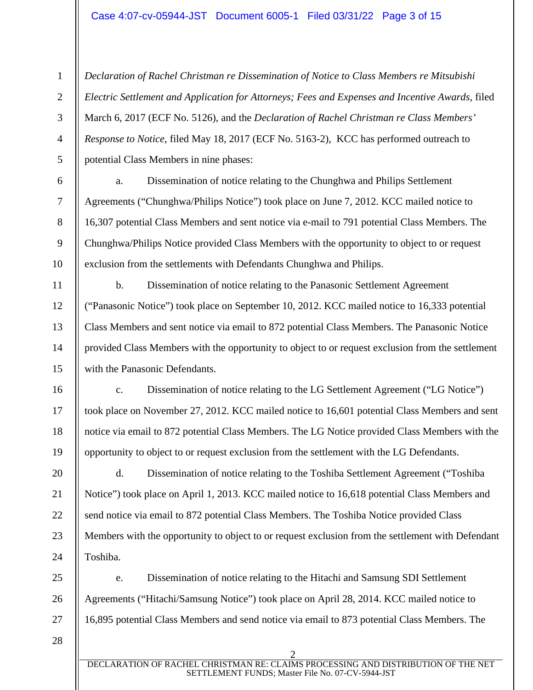1 2 3 4 5 *Declaration of Rachel Christman re Dissemination of Notice to Class Members re Mitsubishi Electric Settlement and Application for Attorneys; Fees and Expenses and Incentive Awards,* filed March 6, 2017 (ECF No. 5126), and the *Declaration of Rachel Christman re Class Members' Response to Notice*, filed May 18, 2017 (ECF No. 5163-2), KCC has performed outreach to potential Class Members in nine phases:

10

11

12

13

14

15

16

17

18

19

20

21

22

23

24

25

26

27

a. Dissemination of notice relating to the Chunghwa and Philips Settlement Agreements ("Chunghwa/Philips Notice") took place on June 7, 2012. KCC mailed notice to 16,307 potential Class Members and sent notice via e-mail to 791 potential Class Members. The Chunghwa/Philips Notice provided Class Members with the opportunity to object to or request exclusion from the settlements with Defendants Chunghwa and Philips.

b. Dissemination of notice relating to the Panasonic Settlement Agreement ("Panasonic Notice") took place on September 10, 2012. KCC mailed notice to 16,333 potential Class Members and sent notice via email to 872 potential Class Members. The Panasonic Notice provided Class Members with the opportunity to object to or request exclusion from the settlement with the Panasonic Defendants.

c. Dissemination of notice relating to the LG Settlement Agreement ("LG Notice") took place on November 27, 2012. KCC mailed notice to 16,601 potential Class Members and sent notice via email to 872 potential Class Members. The LG Notice provided Class Members with the opportunity to object to or request exclusion from the settlement with the LG Defendants.

d. Dissemination of notice relating to the Toshiba Settlement Agreement ("Toshiba Notice") took place on April 1, 2013. KCC mailed notice to 16,618 potential Class Members and send notice via email to 872 potential Class Members. The Toshiba Notice provided Class Members with the opportunity to object to or request exclusion from the settlement with Defendant Toshiba.

e. Dissemination of notice relating to the Hitachi and Samsung SDI Settlement Agreements ("Hitachi/Samsung Notice") took place on April 28, 2014. KCC mailed notice to 16,895 potential Class Members and send notice via email to 873 potential Class Members. The

28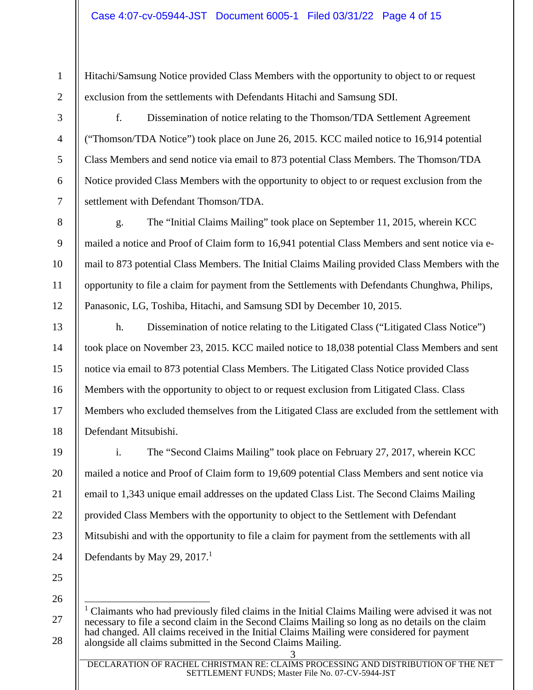Hitachi/Samsung Notice provided Class Members with the opportunity to object to or request exclusion from the settlements with Defendants Hitachi and Samsung SDI.

1

2

3

4

5

6

7

8

9

10

11

12

13

14

15

16

17

18

f. Dissemination of notice relating to the Thomson/TDA Settlement Agreement ("Thomson/TDA Notice") took place on June 26, 2015. KCC mailed notice to 16,914 potential Class Members and send notice via email to 873 potential Class Members. The Thomson/TDA Notice provided Class Members with the opportunity to object to or request exclusion from the settlement with Defendant Thomson/TDA.

g. The "Initial Claims Mailing" took place on September 11, 2015, wherein KCC mailed a notice and Proof of Claim form to 16,941 potential Class Members and sent notice via email to 873 potential Class Members. The Initial Claims Mailing provided Class Members with the opportunity to file a claim for payment from the Settlements with Defendants Chunghwa, Philips, Panasonic, LG, Toshiba, Hitachi, and Samsung SDI by December 10, 2015.

h. Dissemination of notice relating to the Litigated Class ("Litigated Class Notice") took place on November 23, 2015. KCC mailed notice to 18,038 potential Class Members and sent notice via email to 873 potential Class Members. The Litigated Class Notice provided Class Members with the opportunity to object to or request exclusion from Litigated Class. Class Members who excluded themselves from the Litigated Class are excluded from the settlement with Defendant Mitsubishi.

19 20 21 22 23 24 i. The "Second Claims Mailing" took place on February 27, 2017, wherein KCC mailed a notice and Proof of Claim form to 19,609 potential Class Members and sent notice via email to 1,343 unique email addresses on the updated Class List. The Second Claims Mailing provided Class Members with the opportunity to object to the Settlement with Defendant Mitsubishi and with the opportunity to file a claim for payment from the settlements with all Defendants by May 29, 2017. $^1$ 

25 26

27

28

3 DECLARATION OF RACHEL CHRISTMAN RE: CLAIMS PROCESSING AND DISTRIBUTION OF THE NET SETTLEMENT FUNDS; Master File No. 07-CV-5944-JST

<sup>&</sup>lt;sup>1</sup> Claimants who had previously filed claims in the Initial Claims Mailing were advised it was not necessary to file a second claim in the Second Claims Mailing so long as no details on the claim had changed. All claims received in the Initial Claims Mailing were considered for payment alongside all claims submitted in the Second Claims Mailing.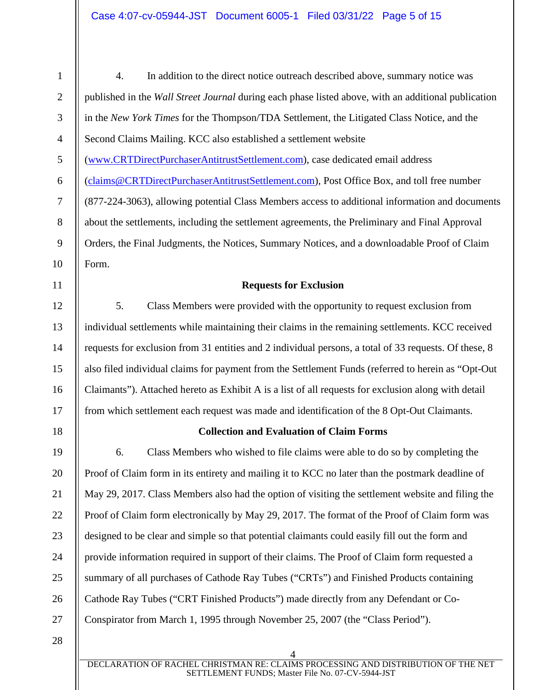4 1 2 3 4 5 6 7 8 9 10 11 12 13 14 15 16 17 18 19 20 21 22 23 24 25 26 27 28 4. In addition to the direct notice outreach described above, summary notice was published in the *Wall Street Journal* during each phase listed above, with an additional publication in the *New York Times* for the Thompson/TDA Settlement, the Litigated Class Notice, and the Second Claims Mailing. KCC also established a settlement website (www.CRTDirectPurchaserAntitrustSettlement.com), case dedicated email address (claims@CRTDirectPurchaserAntitrustSettlement.com), Post Office Box, and toll free number (877-224-3063), allowing potential Class Members access to additional information and documents about the settlements, including the settlement agreements, the Preliminary and Final Approval Orders, the Final Judgments, the Notices, Summary Notices, and a downloadable Proof of Claim Form. **Requests for Exclusion**  5. Class Members were provided with the opportunity to request exclusion from individual settlements while maintaining their claims in the remaining settlements. KCC received requests for exclusion from 31 entities and 2 individual persons, a total of 33 requests. Of these, 8 also filed individual claims for payment from the Settlement Funds (referred to herein as "Opt-Out Claimants"). Attached hereto as Exhibit A is a list of all requests for exclusion along with detail from which settlement each request was made and identification of the 8 Opt-Out Claimants. **Collection and Evaluation of Claim Forms**  6. Class Members who wished to file claims were able to do so by completing the Proof of Claim form in its entirety and mailing it to KCC no later than the postmark deadline of May 29, 2017. Class Members also had the option of visiting the settlement website and filing the Proof of Claim form electronically by May 29, 2017. The format of the Proof of Claim form was designed to be clear and simple so that potential claimants could easily fill out the form and provide information required in support of their claims. The Proof of Claim form requested a summary of all purchases of Cathode Ray Tubes ("CRTs") and Finished Products containing Cathode Ray Tubes ("CRT Finished Products") made directly from any Defendant or Co-Conspirator from March 1, 1995 through November 25, 2007 (the "Class Period").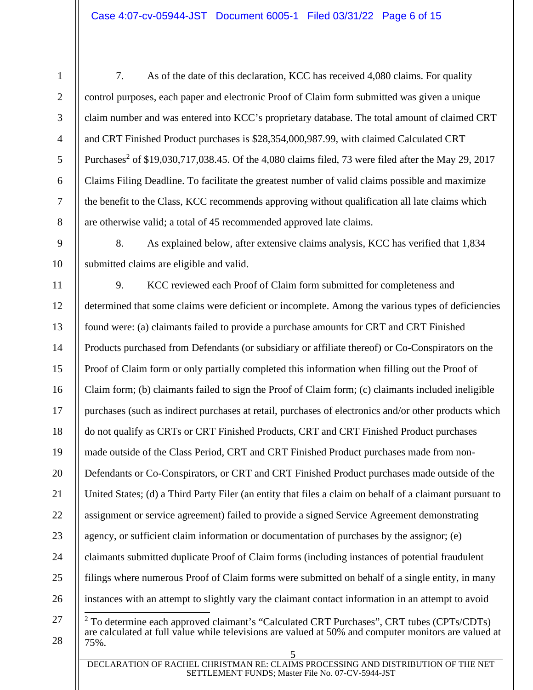2

3

4

5

6

7

8

9

10

7. As of the date of this declaration, KCC has received 4,080 claims. For quality control purposes, each paper and electronic Proof of Claim form submitted was given a unique claim number and was entered into KCC's proprietary database. The total amount of claimed CRT and CRT Finished Product purchases is \$28,354,000,987.99, with claimed Calculated CRT Purchases<sup>2</sup> of \$19,030,717,038.45. Of the 4,080 claims filed, 73 were filed after the May 29, 2017 Claims Filing Deadline. To facilitate the greatest number of valid claims possible and maximize the benefit to the Class, KCC recommends approving without qualification all late claims which are otherwise valid; a total of 45 recommended approved late claims.

8. As explained below, after extensive claims analysis, KCC has verified that 1,834 submitted claims are eligible and valid.

5 DECLARATION OF RACHEL CHRISTMAN RE: CLAIMS PROCESSING AND DISTRIBUTION OF THE NET 11 12 13 14 15 16 17 18 19 20 21 22 23 24 25 26 27 28 9. KCC reviewed each Proof of Claim form submitted for completeness and determined that some claims were deficient or incomplete. Among the various types of deficiencies found were: (a) claimants failed to provide a purchase amounts for CRT and CRT Finished Products purchased from Defendants (or subsidiary or affiliate thereof) or Co-Conspirators on the Proof of Claim form or only partially completed this information when filling out the Proof of Claim form; (b) claimants failed to sign the Proof of Claim form; (c) claimants included ineligible purchases (such as indirect purchases at retail, purchases of electronics and/or other products which do not qualify as CRTs or CRT Finished Products, CRT and CRT Finished Product purchases made outside of the Class Period, CRT and CRT Finished Product purchases made from non-Defendants or Co-Conspirators, or CRT and CRT Finished Product purchases made outside of the United States; (d) a Third Party Filer (an entity that files a claim on behalf of a claimant pursuant to assignment or service agreement) failed to provide a signed Service Agreement demonstrating agency, or sufficient claim information or documentation of purchases by the assignor; (e) claimants submitted duplicate Proof of Claim forms (including instances of potential fraudulent filings where numerous Proof of Claim forms were submitted on behalf of a single entity, in many instances with an attempt to slightly vary the claimant contact information in an attempt to avoid <sup>2</sup> To determine each approved claimant's "Calculated CRT Purchases", CRT tubes (CPTs/CDTs) are calculated at full value while televisions are valued at 50% and computer monitors are valued at 75%.

SETTLEMENT FUNDS; Master File No. 07-CV-5944-JST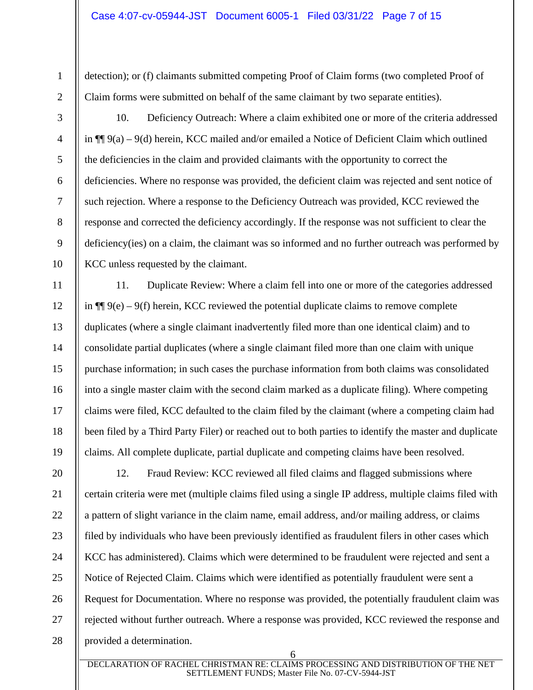detection); or (f) claimants submitted competing Proof of Claim forms (two completed Proof of Claim forms were submitted on behalf of the same claimant by two separate entities).

1

2

3

4

5

6

7

8

9

10

11

12

13

14

15

16

17

18

19

10. Deficiency Outreach: Where a claim exhibited one or more of the criteria addressed in ¶¶ 9(a) – 9(d) herein, KCC mailed and/or emailed a Notice of Deficient Claim which outlined the deficiencies in the claim and provided claimants with the opportunity to correct the deficiencies. Where no response was provided, the deficient claim was rejected and sent notice of such rejection. Where a response to the Deficiency Outreach was provided, KCC reviewed the response and corrected the deficiency accordingly. If the response was not sufficient to clear the deficiency(ies) on a claim, the claimant was so informed and no further outreach was performed by KCC unless requested by the claimant.

11. Duplicate Review: Where a claim fell into one or more of the categories addressed in  $\P$ [ $\phi$ ] 9(e) – 9(f) herein, KCC reviewed the potential duplicate claims to remove complete duplicates (where a single claimant inadvertently filed more than one identical claim) and to consolidate partial duplicates (where a single claimant filed more than one claim with unique purchase information; in such cases the purchase information from both claims was consolidated into a single master claim with the second claim marked as a duplicate filing). Where competing claims were filed, KCC defaulted to the claim filed by the claimant (where a competing claim had been filed by a Third Party Filer) or reached out to both parties to identify the master and duplicate claims. All complete duplicate, partial duplicate and competing claims have been resolved.

20 21 22 23 24 25 26 27 28 12. Fraud Review: KCC reviewed all filed claims and flagged submissions where certain criteria were met (multiple claims filed using a single IP address, multiple claims filed with a pattern of slight variance in the claim name, email address, and/or mailing address, or claims filed by individuals who have been previously identified as fraudulent filers in other cases which KCC has administered). Claims which were determined to be fraudulent were rejected and sent a Notice of Rejected Claim. Claims which were identified as potentially fraudulent were sent a Request for Documentation. Where no response was provided, the potentially fraudulent claim was rejected without further outreach. Where a response was provided, KCC reviewed the response and provided a determination.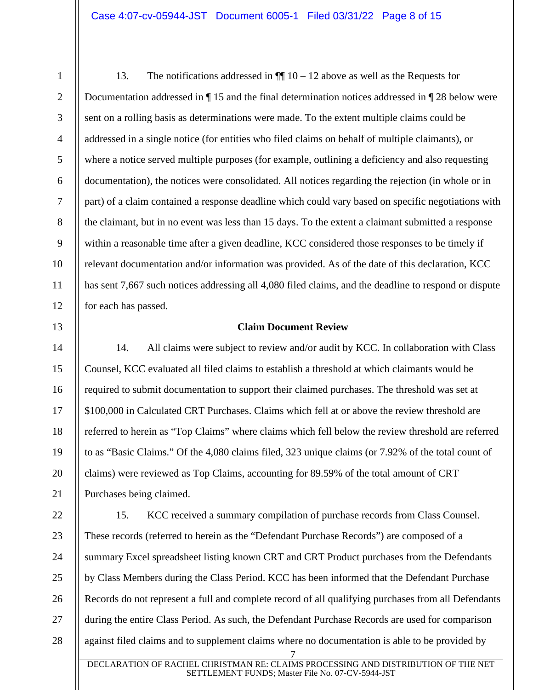2

3

4

5

6

7

8

9

10

11

12

13

14

15

16

17

18

19

20

21

13. The notifications addressed in  $\P$  10 – 12 above as well as the Requests for Documentation addressed in ¶ 15 and the final determination notices addressed in ¶ 28 below were sent on a rolling basis as determinations were made. To the extent multiple claims could be addressed in a single notice (for entities who filed claims on behalf of multiple claimants), or where a notice served multiple purposes (for example, outlining a deficiency and also requesting documentation), the notices were consolidated. All notices regarding the rejection (in whole or in part) of a claim contained a response deadline which could vary based on specific negotiations with the claimant, but in no event was less than 15 days. To the extent a claimant submitted a response within a reasonable time after a given deadline, KCC considered those responses to be timely if relevant documentation and/or information was provided. As of the date of this declaration, KCC has sent 7,667 such notices addressing all 4,080 filed claims, and the deadline to respond or dispute for each has passed.

## **Claim Document Review**

14. All claims were subject to review and/or audit by KCC. In collaboration with Class Counsel, KCC evaluated all filed claims to establish a threshold at which claimants would be required to submit documentation to support their claimed purchases. The threshold was set at \$100,000 in Calculated CRT Purchases. Claims which fell at or above the review threshold are referred to herein as "Top Claims" where claims which fell below the review threshold are referred to as "Basic Claims." Of the 4,080 claims filed, 323 unique claims (or 7.92% of the total count of claims) were reviewed as Top Claims, accounting for 89.59% of the total amount of CRT Purchases being claimed.

7 22 23 24 25 26 27 28 15. KCC received a summary compilation of purchase records from Class Counsel. These records (referred to herein as the "Defendant Purchase Records") are composed of a summary Excel spreadsheet listing known CRT and CRT Product purchases from the Defendants by Class Members during the Class Period. KCC has been informed that the Defendant Purchase Records do not represent a full and complete record of all qualifying purchases from all Defendants during the entire Class Period. As such, the Defendant Purchase Records are used for comparison against filed claims and to supplement claims where no documentation is able to be provided by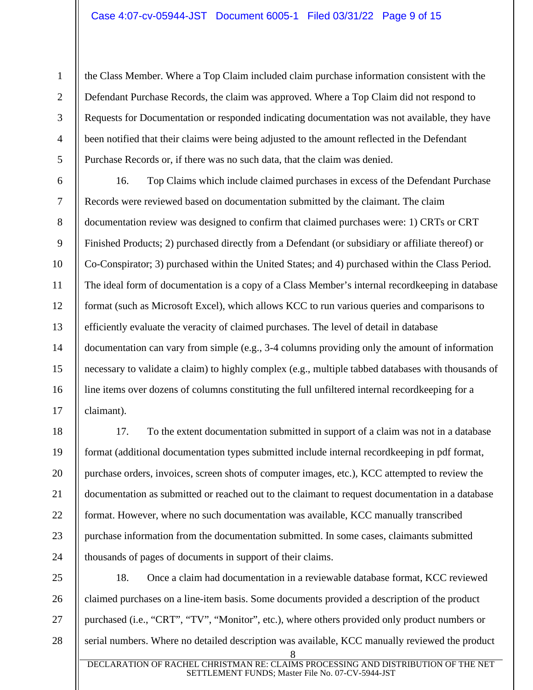2

3

4

5

6

7

8

9

10

11

12

13

14

15

16

17

21

the Class Member. Where a Top Claim included claim purchase information consistent with the Defendant Purchase Records, the claim was approved. Where a Top Claim did not respond to Requests for Documentation or responded indicating documentation was not available, they have been notified that their claims were being adjusted to the amount reflected in the Defendant Purchase Records or, if there was no such data, that the claim was denied.

16. Top Claims which include claimed purchases in excess of the Defendant Purchase Records were reviewed based on documentation submitted by the claimant. The claim documentation review was designed to confirm that claimed purchases were: 1) CRTs or CRT Finished Products; 2) purchased directly from a Defendant (or subsidiary or affiliate thereof) or Co-Conspirator; 3) purchased within the United States; and 4) purchased within the Class Period. The ideal form of documentation is a copy of a Class Member's internal recordkeeping in database format (such as Microsoft Excel), which allows KCC to run various queries and comparisons to efficiently evaluate the veracity of claimed purchases. The level of detail in database documentation can vary from simple (e.g., 3-4 columns providing only the amount of information necessary to validate a claim) to highly complex (e.g., multiple tabbed databases with thousands of line items over dozens of columns constituting the full unfiltered internal recordkeeping for a claimant).

18 19 20 22 23 24 17. To the extent documentation submitted in support of a claim was not in a database format (additional documentation types submitted include internal recordkeeping in pdf format, purchase orders, invoices, screen shots of computer images, etc.), KCC attempted to review the documentation as submitted or reached out to the claimant to request documentation in a database format. However, where no such documentation was available, KCC manually transcribed purchase information from the documentation submitted. In some cases, claimants submitted thousands of pages of documents in support of their claims.

8 25 26 27 28 18. Once a claim had documentation in a reviewable database format, KCC reviewed claimed purchases on a line-item basis. Some documents provided a description of the product purchased (i.e., "CRT", "TV", "Monitor", etc.), where others provided only product numbers or serial numbers. Where no detailed description was available, KCC manually reviewed the product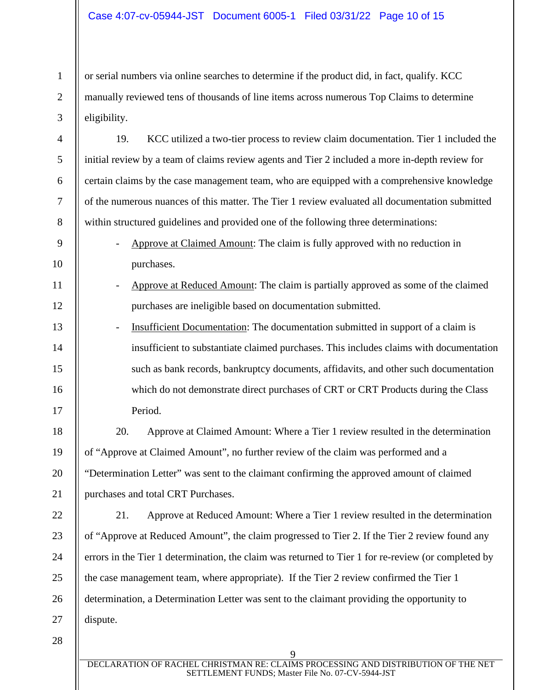or serial numbers via online searches to determine if the product did, in fact, qualify. KCC manually reviewed tens of thousands of line items across numerous Top Claims to determine eligibility.

19. KCC utilized a two-tier process to review claim documentation. Tier 1 included the initial review by a team of claims review agents and Tier 2 included a more in-depth review for certain claims by the case management team, who are equipped with a comprehensive knowledge of the numerous nuances of this matter. The Tier 1 review evaluated all documentation submitted within structured guidelines and provided one of the following three determinations:

- Approve at Claimed Amount: The claim is fully approved with no reduction in purchases.
- Approve at Reduced Amount: The claim is partially approved as some of the claimed purchases are ineligible based on documentation submitted.
- Insufficient Documentation: The documentation submitted in support of a claim is insufficient to substantiate claimed purchases. This includes claims with documentation such as bank records, bankruptcy documents, affidavits, and other such documentation which do not demonstrate direct purchases of CRT or CRT Products during the Class Period.

18 19 20 21 20. Approve at Claimed Amount: Where a Tier 1 review resulted in the determination of "Approve at Claimed Amount", no further review of the claim was performed and a "Determination Letter" was sent to the claimant confirming the approved amount of claimed purchases and total CRT Purchases.

22 23 24 25 26 27 21. Approve at Reduced Amount: Where a Tier 1 review resulted in the determination of "Approve at Reduced Amount", the claim progressed to Tier 2. If the Tier 2 review found any errors in the Tier 1 determination, the claim was returned to Tier 1 for re-review (or completed by the case management team, where appropriate). If the Tier 2 review confirmed the Tier 1 determination, a Determination Letter was sent to the claimant providing the opportunity to dispute.

28

1

2

3

4

5

6

7

8

9

10

11

12

13

14

15

16

17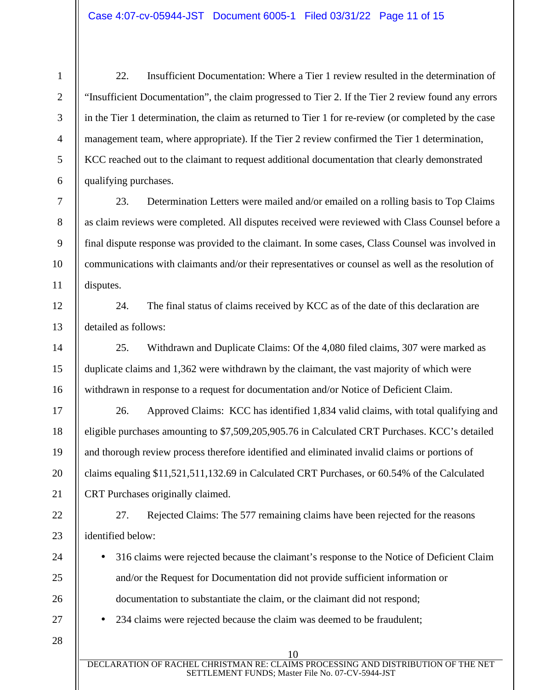2

3

4

5

6

7

8

9

10

11

12

13

14

15

16

17

18

19

20

21

24

25

26

27

28

22. Insufficient Documentation: Where a Tier 1 review resulted in the determination of "Insufficient Documentation", the claim progressed to Tier 2. If the Tier 2 review found any errors in the Tier 1 determination, the claim as returned to Tier 1 for re-review (or completed by the case management team, where appropriate). If the Tier 2 review confirmed the Tier 1 determination, KCC reached out to the claimant to request additional documentation that clearly demonstrated qualifying purchases.

23. Determination Letters were mailed and/or emailed on a rolling basis to Top Claims as claim reviews were completed. All disputes received were reviewed with Class Counsel before a final dispute response was provided to the claimant. In some cases, Class Counsel was involved in communications with claimants and/or their representatives or counsel as well as the resolution of disputes.

24. The final status of claims received by KCC as of the date of this declaration are detailed as follows:

25. Withdrawn and Duplicate Claims: Of the 4,080 filed claims, 307 were marked as duplicate claims and 1,362 were withdrawn by the claimant, the vast majority of which were withdrawn in response to a request for documentation and/or Notice of Deficient Claim.

26. Approved Claims: KCC has identified 1,834 valid claims, with total qualifying and eligible purchases amounting to \$7,509,205,905.76 in Calculated CRT Purchases. KCC's detailed and thorough review process therefore identified and eliminated invalid claims or portions of claims equaling \$11,521,511,132.69 in Calculated CRT Purchases, or 60.54% of the Calculated CRT Purchases originally claimed.

22 23 27. Rejected Claims: The 577 remaining claims have been rejected for the reasons identified below:

• 316 claims were rejected because the claimant's response to the Notice of Deficient Claim and/or the Request for Documentation did not provide sufficient information or documentation to substantiate the claim, or the claimant did not respond;

• 234 claims were rejected because the claim was deemed to be fraudulent;

DECLARATION OF RACHEL CHRISTMAN RE: CLAIMS PROCESSING AND DISTRIBUTION OF THE NET SETTLEMENT FUNDS; Master File No. 07-CV-5944-JST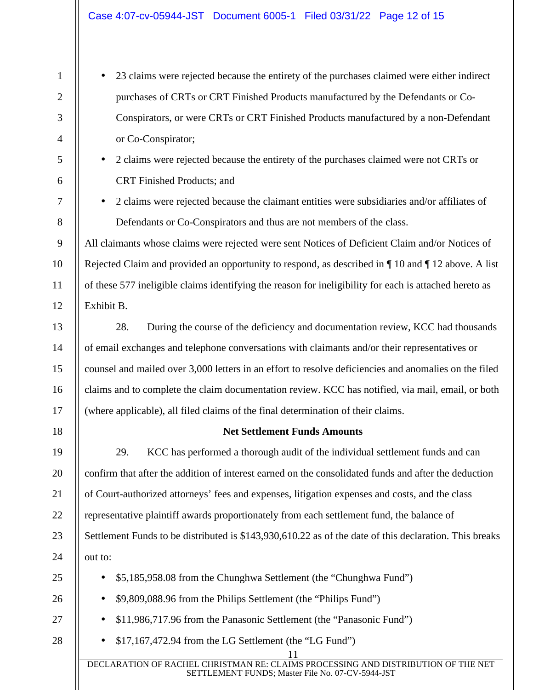2

3

4

5

6

7

8

9

10

11

12

13

14

15

16

17

18

25

26

27

28

- 23 claims were rejected because the entirety of the purchases claimed were either indirect purchases of CRTs or CRT Finished Products manufactured by the Defendants or Co-Conspirators, or were CRTs or CRT Finished Products manufactured by a non-Defendant or Co-Conspirator;
	- 2 claims were rejected because the entirety of the purchases claimed were not CRTs or CRT Finished Products; and
- 2 claims were rejected because the claimant entities were subsidiaries and/or affiliates of Defendants or Co-Conspirators and thus are not members of the class.

All claimants whose claims were rejected were sent Notices of Deficient Claim and/or Notices of Rejected Claim and provided an opportunity to respond, as described in ¶ 10 and ¶ 12 above. A list of these 577 ineligible claims identifying the reason for ineligibility for each is attached hereto as Exhibit B.

28. During the course of the deficiency and documentation review, KCC had thousands of email exchanges and telephone conversations with claimants and/or their representatives or counsel and mailed over 3,000 letters in an effort to resolve deficiencies and anomalies on the filed claims and to complete the claim documentation review. KCC has notified, via mail, email, or both (where applicable), all filed claims of the final determination of their claims.

## **Net Settlement Funds Amounts**

19 20 21 22 23 24 29. KCC has performed a thorough audit of the individual settlement funds and can confirm that after the addition of interest earned on the consolidated funds and after the deduction of Court-authorized attorneys' fees and expenses, litigation expenses and costs, and the class representative plaintiff awards proportionately from each settlement fund, the balance of Settlement Funds to be distributed is \$143,930,610.22 as of the date of this declaration. This breaks out to:

- \$5,185,958.08 from the Chunghwa Settlement (the "Chunghwa Fund")
- \$9,809,088.96 from the Philips Settlement (the "Philips Fund")
- \$11,986,717.96 from the Panasonic Settlement (the "Panasonic Fund")
- \$17,167,472.94 from the LG Settlement (the "LG Fund")

11 DECLARATION OF RACHEL CHRISTMAN RE: CLAIMS PROCESSING AND DISTRIBUTION OF THE NET SETTLEMENT FUNDS; Master File No. 07-CV-5944-JST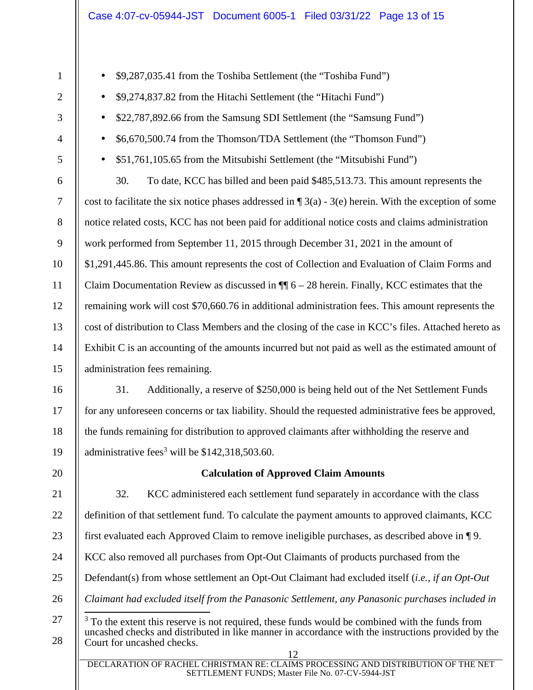• \$9,287,035.41 from the Toshiba Settlement (the "Toshiba Fund")

• \$9,274,837.82 from the Hitachi Settlement (the "Hitachi Fund")

| 3                | \$22,787,892.66 from the Samsung SDI Settlement (the "Samsung Fund")<br>$\bullet$                                                |
|------------------|----------------------------------------------------------------------------------------------------------------------------------|
| $\overline{4}$   | \$6,670,500.74 from the Thomson/TDA Settlement (the "Thomson Fund")                                                              |
| 5                | \$51,761,105.65 from the Mitsubishi Settlement (the "Mitsubishi Fund")<br>$\bullet$                                              |
| 6                | 30.<br>To date, KCC has billed and been paid \$485,513.73. This amount represents the                                            |
| $\boldsymbol{7}$ | cost to facilitate the six notice phases addressed in $\P$ 3(a) - 3(e) herein. With the exception of some                        |
| $8\,$            | notice related costs, KCC has not been paid for additional notice costs and claims administration                                |
| 9                | work performed from September 11, 2015 through December 31, 2021 in the amount of                                                |
| 10               | \$1,291,445.86. This amount represents the cost of Collection and Evaluation of Claim Forms and                                  |
| 11               | Claim Documentation Review as discussed in $\P$ 6 – 28 herein. Finally, KCC estimates that the                                   |
| 12               | remaining work will cost \$70,660.76 in additional administration fees. This amount represents the                               |
| 13               | cost of distribution to Class Members and the closing of the case in KCC's files. Attached hereto as                             |
| 14               | Exhibit C is an accounting of the amounts incurred but not paid as well as the estimated amount of                               |
| 15               | administration fees remaining.                                                                                                   |
| 16               | 31.<br>Additionally, a reserve of \$250,000 is being held out of the Net Settlement Funds                                        |
| 17               | for any unforeseen concerns or tax liability. Should the requested administrative fees be approved,                              |
| 18               | the funds remaining for distribution to approved claimants after withholding the reserve and                                     |
| 19               | administrative fees <sup>3</sup> will be $$142,318,503.60$ .                                                                     |
| 20               | <b>Calculation of Approved Claim Amounts</b>                                                                                     |
| 21               | 32.<br>KCC administered each settlement fund separately in accordance with the class                                             |
| 22               | definition of that settlement fund. To calculate the payment amounts to approved claimants, KCC                                  |
| 23               | first evaluated each Approved Claim to remove ineligible purchases, as described above in $\P$ 9.                                |
| 24               | KCC also removed all purchases from Opt-Out Claimants of products purchased from the                                             |
| 25               | Defendant(s) from whose settlement an Opt-Out Claimant had excluded itself (i.e., if an Opt-Out                                  |
| 26               | Claimant had excluded itself from the Panasonic Settlement, any Panasonic purchases included in                                  |
| 27               | $3\,\mathrm{T}$ To the extent this reserve is not required, these funds would be combined with the funds from                    |
| 28               | uncashed checks and distributed in like manner in accordance with the instructions provided by the<br>Court for uncashed checks. |
|                  | 12<br>DECLARATION OF RACHEL CHRISTMAN RE: CLAIMS PROCESSING AND DISTRIBUTION OF THE NET                                          |
|                  | SETTLEMENT FUNDS; Master File No. 07-CV-5944-JST                                                                                 |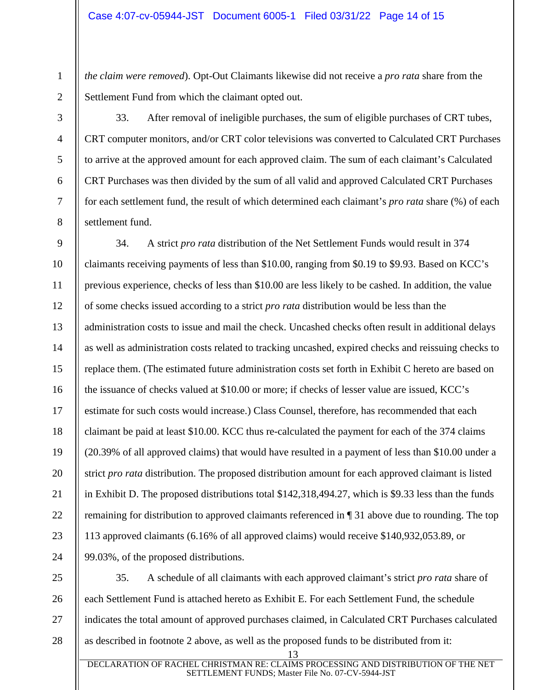*the claim were removed*). Opt-Out Claimants likewise did not receive a *pro rata* share from the Settlement Fund from which the claimant opted out.

1

2

3

4

5

6

7

8

33. After removal of ineligible purchases, the sum of eligible purchases of CRT tubes, CRT computer monitors, and/or CRT color televisions was converted to Calculated CRT Purchases to arrive at the approved amount for each approved claim. The sum of each claimant's Calculated CRT Purchases was then divided by the sum of all valid and approved Calculated CRT Purchases for each settlement fund, the result of which determined each claimant's *pro rata* share (%) of each settlement fund.

9 10 11 12 13 14 15 16 17 18 19 20 21 22 23 24 34. A strict *pro rata* distribution of the Net Settlement Funds would result in 374 claimants receiving payments of less than \$10.00, ranging from \$0.19 to \$9.93. Based on KCC's previous experience, checks of less than \$10.00 are less likely to be cashed. In addition, the value of some checks issued according to a strict *pro rata* distribution would be less than the administration costs to issue and mail the check. Uncashed checks often result in additional delays as well as administration costs related to tracking uncashed, expired checks and reissuing checks to replace them. (The estimated future administration costs set forth in Exhibit C hereto are based on the issuance of checks valued at \$10.00 or more; if checks of lesser value are issued, KCC's estimate for such costs would increase.) Class Counsel, therefore, has recommended that each claimant be paid at least \$10.00. KCC thus re-calculated the payment for each of the 374 claims (20.39% of all approved claims) that would have resulted in a payment of less than \$10.00 under a strict *pro rata* distribution. The proposed distribution amount for each approved claimant is listed in Exhibit D. The proposed distributions total \$142,318,494.27, which is \$9.33 less than the funds remaining for distribution to approved claimants referenced in ¶ 31 above due to rounding. The top 113 approved claimants (6.16% of all approved claims) would receive \$140,932,053.89, or 99.03%, of the proposed distributions.

25 26 27 28 35. A schedule of all claimants with each approved claimant's strict *pro rata* share of each Settlement Fund is attached hereto as Exhibit E. For each Settlement Fund, the schedule indicates the total amount of approved purchases claimed, in Calculated CRT Purchases calculated as described in footnote 2 above, as well as the proposed funds to be distributed from it: